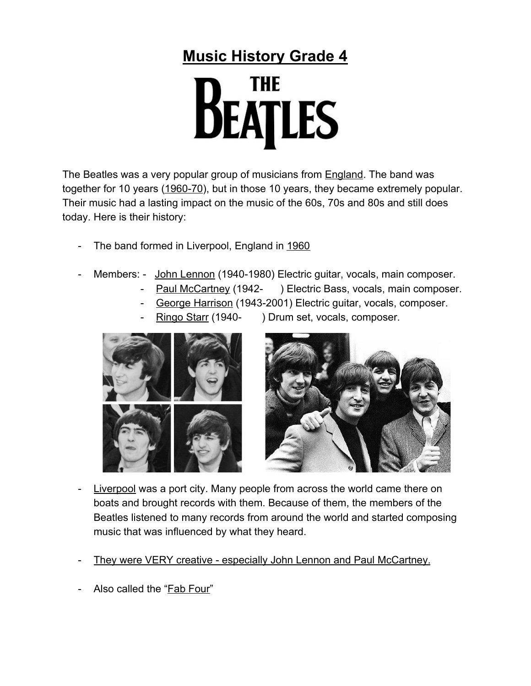## **Music History Grade 4**



The Beatles was a very popular group of musicians from **England**. The band was together for 10 years (1960-70), but in those 10 years, they became extremely popular. Their music had a lasting impact on the music of the 60s, 70s and 80s and still does today. Here is their history:

- The band formed in Liverpool, England in 1960
- Members: John Lennon (1940-1980) Electric guitar, vocals, main composer.
	- Paul McCartney (1942- ) Electric Bass, vocals, main composer.
	- George Harrison (1943-2001) Electric guitar, vocals, composer.
	-
- Ringo Starr (1940-) Drum set, vocals, composer.





- Liverpool was a port city. Many people from across the world came there on boats and brought records with them. Because of them, the members of the Beatles listened to many records from around the world and started composing music that was influenced by what they heard.
- They were VERY creative especially John Lennon and Paul McCartney.
- Also called the "Fab Four"